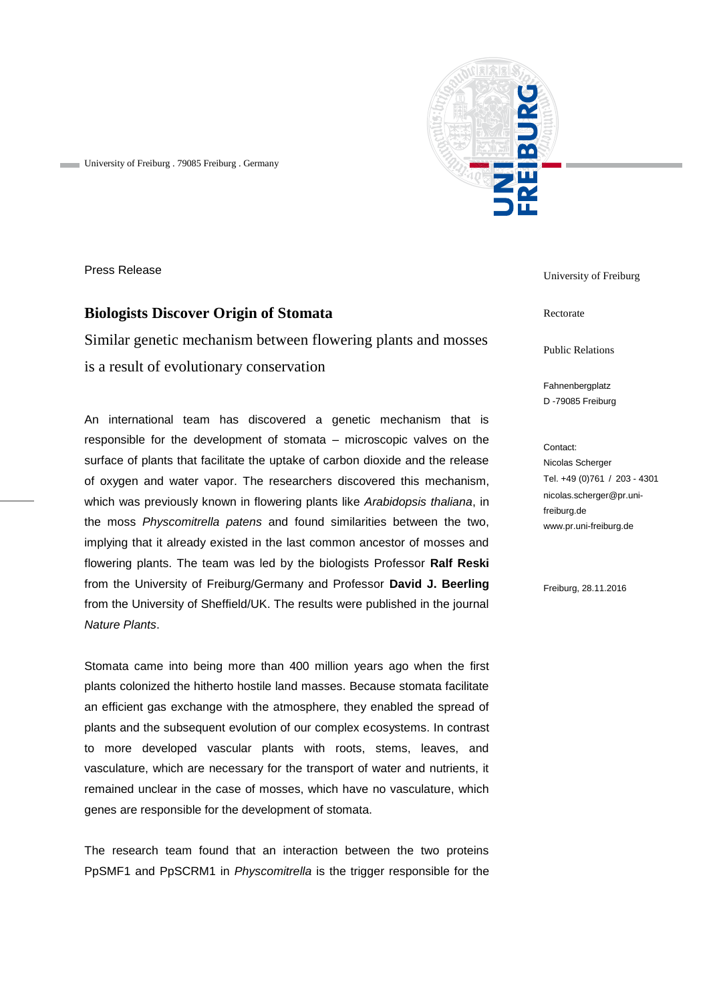

University of Freiburg . 79085 Freiburg . Germany

Press Release

## **Biologists Discover Origin of Stomata**

Similar genetic mechanism between flowering plants and mosses is a result of evolutionary conservation

An international team has discovered a genetic mechanism that is responsible for the development of stomata – microscopic valves on the surface of plants that facilitate the uptake of carbon dioxide and the release of oxygen and water vapor. The researchers discovered this mechanism, which was previously known in flowering plants like *Arabidopsis thaliana*, in the moss *Physcomitrella patens* and found similarities between the two, implying that it already existed in the last common ancestor of mosses and flowering plants. The team was led by the biologists Professor **Ralf Reski** from the University of Freiburg/Germany and Professor **David J. Beerling** from the University of Sheffield/UK. The results were published in the journal *Nature Plants*.

Stomata came into being more than 400 million years ago when the first plants colonized the hitherto hostile land masses. Because stomata facilitate an efficient gas exchange with the atmosphere, they enabled the spread of plants and the subsequent evolution of our complex ecosystems. In contrast to more developed vascular plants with roots, stems, leaves, and vasculature, which are necessary for the transport of water and nutrients, it remained unclear in the case of mosses, which have no vasculature, which genes are responsible for the development of stomata.

The research team found that an interaction between the two proteins PpSMF1 and PpSCRM1 in *Physcomitrella* is the trigger responsible for the University of Freiburg

Rectorate

Public Relations

Fahnenbergplatz D -79085 Freiburg

Contact: Nicolas Scherger Tel. +49 (0)761 / 203 - 4301 nicolas.scherger@pr.unifreiburg.de www.pr.uni-freiburg.de

Freiburg, 28.11.2016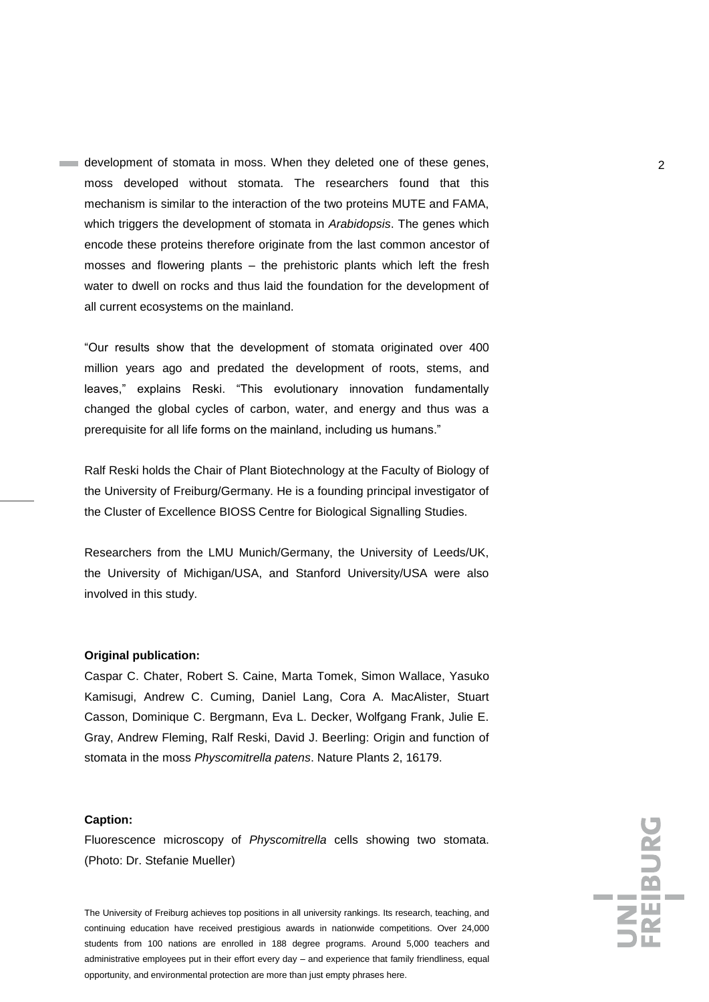development of stomata in moss. When they deleted one of these genes, 2 moss developed without stomata. The researchers found that this mechanism is similar to the interaction of the two proteins MUTE and FAMA, which triggers the development of stomata in *Arabidopsis*. The genes which encode these proteins therefore originate from the last common ancestor of mosses and flowering plants – the prehistoric plants which left the fresh water to dwell on rocks and thus laid the foundation for the development of all current ecosystems on the mainland.

"Our results show that the development of stomata originated over 400 million years ago and predated the development of roots, stems, and leaves," explains Reski. "This evolutionary innovation fundamentally changed the global cycles of carbon, water, and energy and thus was a prerequisite for all life forms on the mainland, including us humans."

Ralf Reski holds the Chair of Plant Biotechnology at the Faculty of Biology of the University of Freiburg/Germany. He is a founding principal investigator of the Cluster of Excellence BIOSS Centre for Biological Signalling Studies.

Researchers from the LMU Munich/Germany, the University of Leeds/UK, the University of Michigan/USA, and Stanford University/USA were also involved in this study.

## **Original publication:**

Caspar C. Chater, Robert S. Caine, Marta Tomek, Simon Wallace, Yasuko Kamisugi, Andrew C. Cuming, Daniel Lang, Cora A. MacAlister, Stuart Casson, Dominique C. Bergmann, Eva L. Decker, Wolfgang Frank, Julie E. Gray, Andrew Fleming, Ralf Reski, David J. Beerling: Origin and function of stomata in the moss *Physcomitrella patens*. Nature Plants 2, 16179.

## **Caption:**

Fluorescence microscopy of *Physcomitrella* cells showing two stomata. (Photo: Dr. Stefanie Mueller)

The University of Freiburg achieves top positions in all university rankings. Its research, teaching, and continuing education have received prestigious awards in nationwide competitions. Over 24,000 students from 100 nations are enrolled in 188 degree programs. Around 5,000 teachers and administrative employees put in their effort every day – and experience that family friendliness, equal opportunity, and environmental protection are more than just empty phrases here.